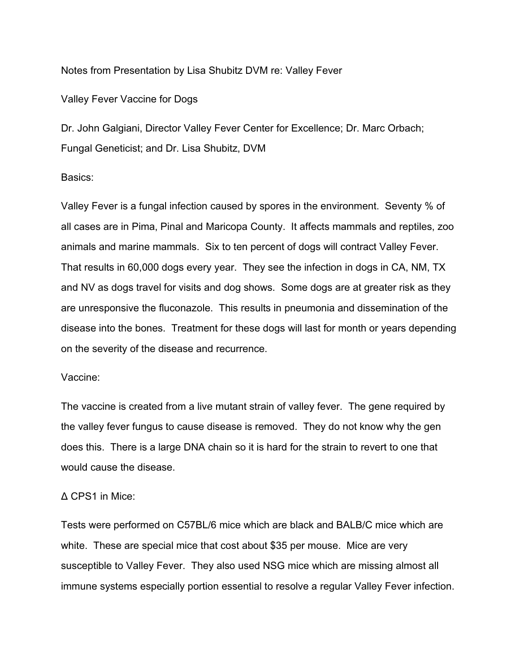### Notes from Presentation by Lisa Shubitz DVM re: Valley Fever

## Valley Fever Vaccine for Dogs

Dr. John Galgiani, Director Valley Fever Center for Excellence; Dr. Marc Orbach; Fungal Geneticist; and Dr. Lisa Shubitz, DVM

## Basics:

Valley Fever is a fungal infection caused by spores in the environment. Seventy % of all cases are in Pima, Pinal and Maricopa County. It affects mammals and reptiles, zoo animals and marine mammals. Six to ten percent of dogs will contract Valley Fever. That results in 60,000 dogs every year. They see the infection in dogs in CA, NM, TX and NV as dogs travel for visits and dog shows. Some dogs are at greater risk as they are unresponsive the fluconazole. This results in pneumonia and dissemination of the disease into the bones. Treatment for these dogs will last for month or years depending on the severity of the disease and recurrence.

#### Vaccine:

The vaccine is created from a live mutant strain of valley fever. The gene required by the valley fever fungus to cause disease is removed. They do not know why the gen does this. There is a large DNA chain so it is hard for the strain to revert to one that would cause the disease.

#### Δ CPS1 in Mice:

Tests were performed on C57BL/6 mice which are black and BALB/C mice which are white. These are special mice that cost about \$35 per mouse. Mice are very susceptible to Valley Fever. They also used NSG mice which are missing almost all immune systems especially portion essential to resolve a regular Valley Fever infection.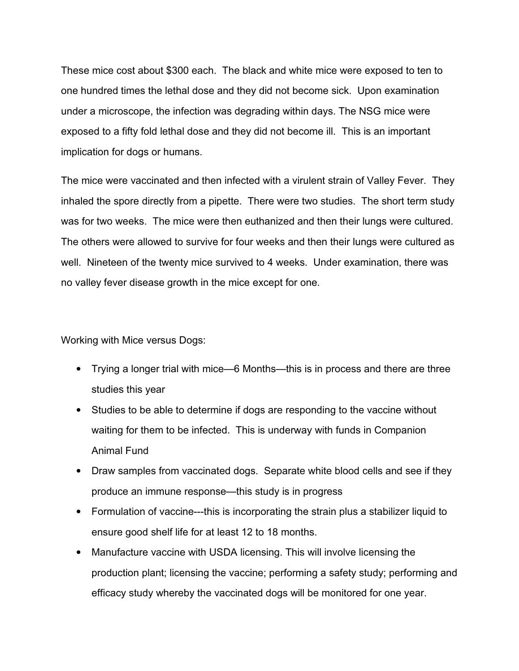These mice cost about \$300 each. The black and white mice were exposed to ten to one hundred times the lethal dose and they did not become sick. Upon examination under a microscope, the infection was degrading within days. The NSG mice were exposed to a fifty fold lethal dose and they did not become ill. This is an important implication for dogs or humans.

The mice were vaccinated and then infected with a virulent strain of Valley Fever. They inhaled the spore directly from a pipette. There were two studies. The short term study was for two weeks. The mice were then euthanized and then their lungs were cultured. The others were allowed to survive for four weeks and then their lungs were cultured as well. Nineteen of the twenty mice survived to 4 weeks. Under examination, there was no valley fever disease growth in the mice except for one.

Working with Mice versus Dogs:

- Trying a longer trial with mice—6 Months—this is in process and there are three studies this year
- Studies to be able to determine if dogs are responding to the vaccine without waiting for them to be infected. This is underway with funds in Companion Animal Fund
- Draw samples from vaccinated dogs. Separate white blood cells and see if they produce an immune response—this study is in progress
- Formulation of vaccine---this is incorporating the strain plus a stabilizer liquid to ensure good shelf life for at least 12 to 18 months.
- Manufacture vaccine with USDA licensing. This will involve licensing the production plant; licensing the vaccine; performing a safety study; performing and efficacy study whereby the vaccinated dogs will be monitored for one year.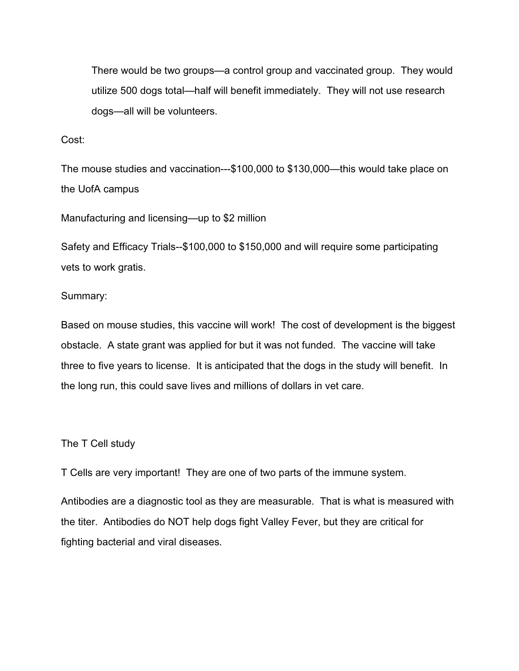There would be two groups—a control group and vaccinated group. They would utilize 500 dogs total—half will benefit immediately. They will not use research dogs—all will be volunteers.

Cost:

The mouse studies and vaccination---\$100,000 to \$130,000—this would take place on the UofA campus

Manufacturing and licensing—up to \$2 million

Safety and Efficacy Trials--\$100,000 to \$150,000 and will require some participating vets to work gratis.

## Summary:

Based on mouse studies, this vaccine will work! The cost of development is the biggest obstacle. A state grant was applied for but it was not funded. The vaccine will take three to five years to license. It is anticipated that the dogs in the study will benefit. In the long run, this could save lives and millions of dollars in vet care.

# The T Cell study

T Cells are very important! They are one of two parts of the immune system.

Antibodies are a diagnostic tool as they are measurable. That is what is measured with the titer. Antibodies do NOT help dogs fight Valley Fever, but they are critical for fighting bacterial and viral diseases.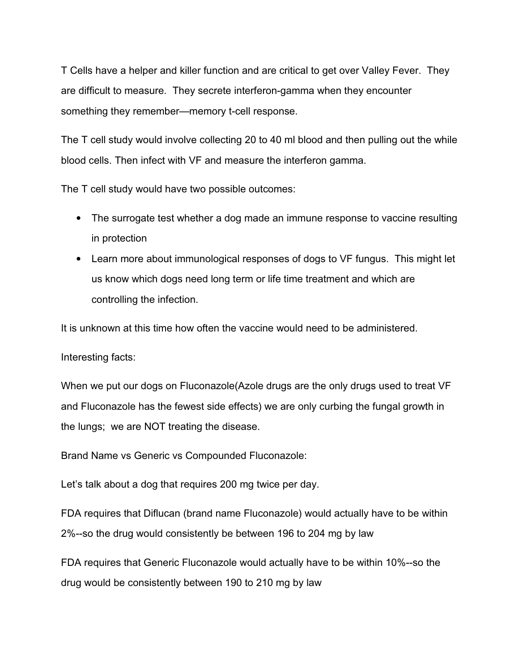T Cells have a helper and killer function and are critical to get over Valley Fever. They are difficult to measure. They secrete interferon-gamma when they encounter something they remember—memory t-cell response.

The T cell study would involve collecting 20 to 40 ml blood and then pulling out the while blood cells. Then infect with VF and measure the interferon gamma.

The T cell study would have two possible outcomes:

- The surrogate test whether a dog made an immune response to vaccine resulting in protection
- Learn more about immunological responses of dogs to VF fungus. This might let us know which dogs need long term or life time treatment and which are controlling the infection.

It is unknown at this time how often the vaccine would need to be administered.

Interesting facts:

When we put our dogs on Fluconazole(Azole drugs are the only drugs used to treat VF and Fluconazole has the fewest side effects) we are only curbing the fungal growth in the lungs; we are NOT treating the disease.

Brand Name vs Generic vs Compounded Fluconazole:

Let's talk about a dog that requires 200 mg twice per day.

FDA requires that Diflucan (brand name Fluconazole) would actually have to be within 2%--so the drug would consistently be between 196 to 204 mg by law

FDA requires that Generic Fluconazole would actually have to be within 10%--so the drug would be consistently between 190 to 210 mg by law